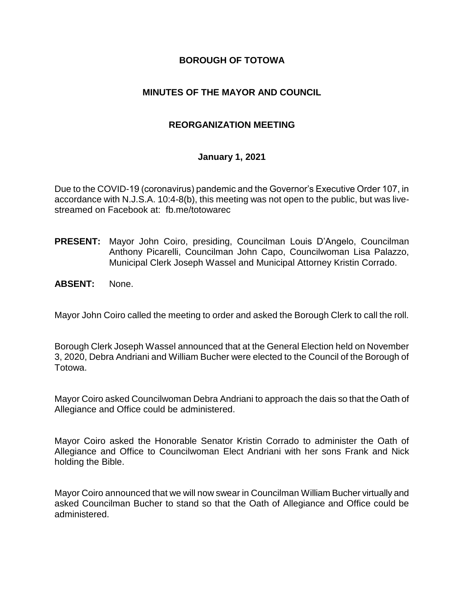#### **BOROUGH OF TOTOWA**

#### **MINUTES OF THE MAYOR AND COUNCIL**

#### **REORGANIZATION MEETING**

#### **January 1, 2021**

Due to the COVID-19 (coronavirus) pandemic and the Governor's Executive Order 107, in accordance with N.J.S.A. 10:4-8(b), this meeting was not open to the public, but was livestreamed on Facebook at: fb.me/totowarec

- **PRESENT:** Mayor John Coiro, presiding, Councilman Louis D'Angelo, Councilman Anthony Picarelli, Councilman John Capo, Councilwoman Lisa Palazzo, Municipal Clerk Joseph Wassel and Municipal Attorney Kristin Corrado.
- **ABSENT:** None.

Mayor John Coiro called the meeting to order and asked the Borough Clerk to call the roll.

Borough Clerk Joseph Wassel announced that at the General Election held on November 3, 2020, Debra Andriani and William Bucher were elected to the Council of the Borough of Totowa.

Mayor Coiro asked Councilwoman Debra Andriani to approach the dais so that the Oath of Allegiance and Office could be administered.

Mayor Coiro asked the Honorable Senator Kristin Corrado to administer the Oath of Allegiance and Office to Councilwoman Elect Andriani with her sons Frank and Nick holding the Bible.

Mayor Coiro announced that we will now swear in Councilman William Bucher virtually and asked Councilman Bucher to stand so that the Oath of Allegiance and Office could be administered.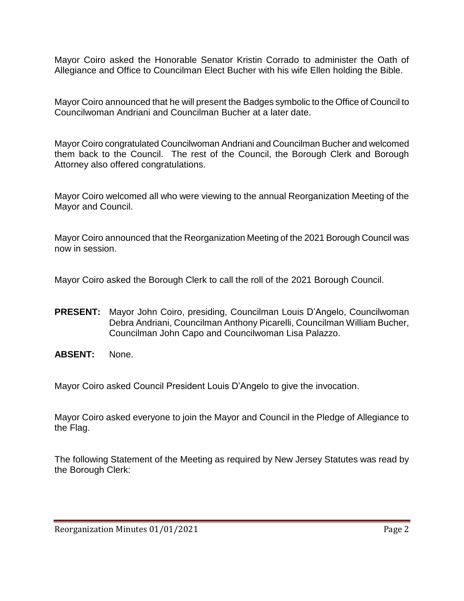Mayor Coiro asked the Honorable Senator Kristin Corrado to administer the Oath of Allegiance and Office to Councilman Elect Bucher with his wife Ellen holding the Bible.

Mayor Coiro announced that he will present the Badges symbolic to the Office of Council to Councilwoman Andriani and Councilman Bucher at a later date.

Mayor Coiro congratulated Councilwoman Andriani and Councilman Bucher and welcomed them back to the Council. The rest of the Council, the Borough Clerk and Borough Attorney also offered congratulations.

Mayor Coiro welcomed all who were viewing to the annual Reorganization Meeting of the Mayor and Council.

Mayor Coiro announced that the Reorganization Meeting of the 2021 Borough Council was now in session.

Mayor Coiro asked the Borough Clerk to call the roll of the 2021 Borough Council.

- **PRESENT:** Mayor John Coiro, presiding, Councilman Louis D'Angelo, Councilwoman Debra Andriani, Councilman Anthony Picarelli, Councilman William Bucher, Councilman John Capo and Councilwoman Lisa Palazzo.
- **ABSENT:** None.

Mayor Coiro asked Council President Louis D'Angelo to give the invocation.

Mayor Coiro asked everyone to join the Mayor and Council in the Pledge of Allegiance to the Flag.

The following Statement of the Meeting as required by New Jersey Statutes was read by the Borough Clerk: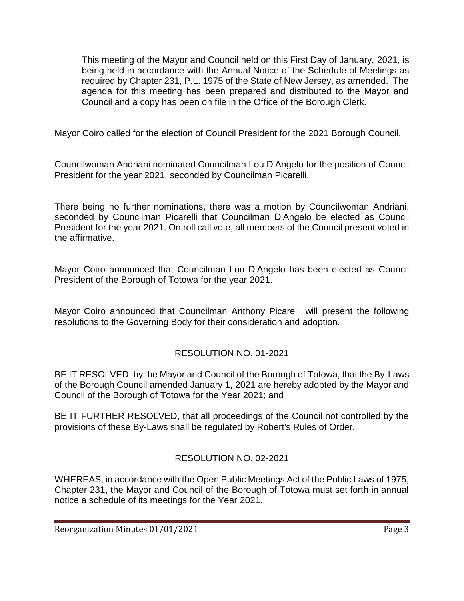This meeting of the Mayor and Council held on this First Day of January, 2021, is being held in accordance with the Annual Notice of the Schedule of Meetings as required by Chapter 231, P.L. 1975 of the State of New Jersey, as amended. The agenda for this meeting has been prepared and distributed to the Mayor and Council and a copy has been on file in the Office of the Borough Clerk.

Mayor Coiro called for the election of Council President for the 2021 Borough Council.

Councilwoman Andriani nominated Councilman Lou D'Angelo for the position of Council President for the year 2021, seconded by Councilman Picarelli.

There being no further nominations, there was a motion by Councilwoman Andriani, seconded by Councilman Picarelli that Councilman D'Angelo be elected as Council President for the year 2021. On roll call vote, all members of the Council present voted in the affirmative.

Mayor Coiro announced that Councilman Lou D'Angelo has been elected as Council President of the Borough of Totowa for the year 2021.

Mayor Coiro announced that Councilman Anthony Picarelli will present the following resolutions to the Governing Body for their consideration and adoption.

# RESOLUTION NO. 01-2021

BE IT RESOLVED, by the Mayor and Council of the Borough of Totowa, that the By-Laws of the Borough Council amended January 1, 2021 are hereby adopted by the Mayor and Council of the Borough of Totowa for the Year 2021; and

BE IT FURTHER RESOLVED, that all proceedings of the Council not controlled by the provisions of these By-Laws shall be regulated by Robert's Rules of Order.

# RESOLUTION NO. 02-2021

WHEREAS, in accordance with the Open Public Meetings Act of the Public Laws of 1975, Chapter 231, the Mayor and Council of the Borough of Totowa must set forth in annual notice a schedule of its meetings for the Year 2021.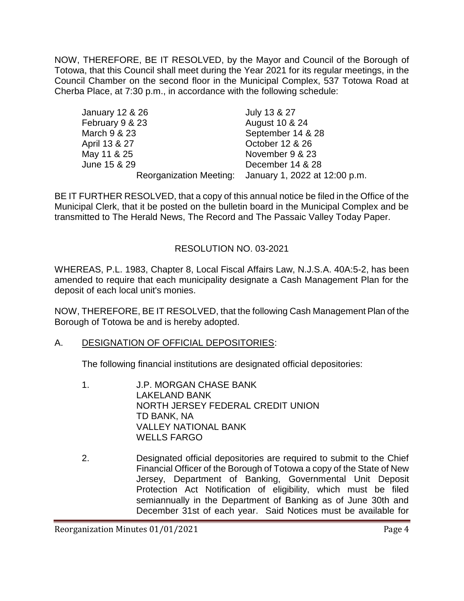NOW, THEREFORE, BE IT RESOLVED, by the Mayor and Council of the Borough of Totowa, that this Council shall meet during the Year 2021 for its regular meetings, in the Council Chamber on the second floor in the Municipal Complex, 537 Totowa Road at Cherba Place, at 7:30 p.m., in accordance with the following schedule:

| July 13 & 27                                          |
|-------------------------------------------------------|
| August 10 & 24                                        |
| September 14 & 28                                     |
| October 12 & 26                                       |
| November 9 & 23                                       |
| December 14 & 28                                      |
| Reorganization Meeting: January 1, 2022 at 12:00 p.m. |
|                                                       |

BE IT FURTHER RESOLVED, that a copy of this annual notice be filed in the Office of the Municipal Clerk, that it be posted on the bulletin board in the Municipal Complex and be transmitted to The Herald News, The Record and The Passaic Valley Today Paper.

# RESOLUTION NO. 03-2021

WHEREAS, P.L. 1983, Chapter 8, Local Fiscal Affairs Law, N.J.S.A. 40A:5-2, has been amended to require that each municipality designate a Cash Management Plan for the deposit of each local unit's monies.

NOW, THEREFORE, BE IT RESOLVED, that the following Cash Management Plan of the Borough of Totowa be and is hereby adopted.

#### A. DESIGNATION OF OFFICIAL DEPOSITORIES:

The following financial institutions are designated official depositories:

- 1. J.P. MORGAN CHASE BANK LAKELAND BANK NORTH JERSEY FEDERAL CREDIT UNION TD BANK, NA VALLEY NATIONAL BANK WELLS FARGO
- 2. Designated official depositories are required to submit to the Chief Financial Officer of the Borough of Totowa a copy of the State of New Jersey, Department of Banking, Governmental Unit Deposit Protection Act Notification of eligibility, which must be filed semiannually in the Department of Banking as of June 30th and December 31st of each year. Said Notices must be available for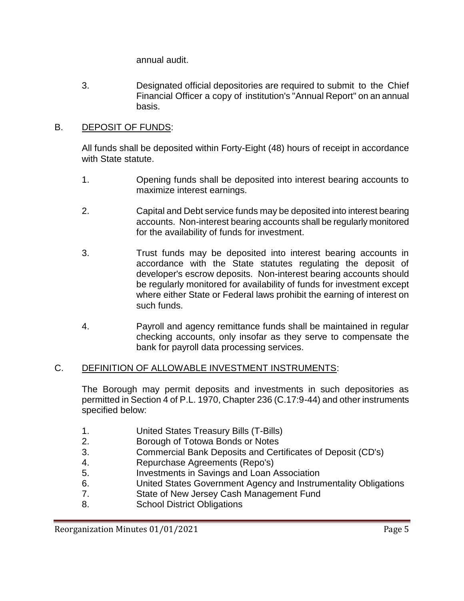annual audit.

3. Designated official depositories are required to submit to the Chief Financial Officer a copy of institution's "Annual Report" on an annual basis.

## B. DEPOSIT OF FUNDS:

All funds shall be deposited within Forty-Eight (48) hours of receipt in accordance with State statute.

- 1. Opening funds shall be deposited into interest bearing accounts to maximize interest earnings.
- 2. Capital and Debt service funds may be deposited into interest bearing accounts. Non-interest bearing accounts shall be regularly monitored for the availability of funds for investment.
- 3. Trust funds may be deposited into interest bearing accounts in accordance with the State statutes regulating the deposit of developer's escrow deposits. Non-interest bearing accounts should be regularly monitored for availability of funds for investment except where either State or Federal laws prohibit the earning of interest on such funds.
- 4. Payroll and agency remittance funds shall be maintained in regular checking accounts, only insofar as they serve to compensate the bank for payroll data processing services.

# C. DEFINITION OF ALLOWABLE INVESTMENT INSTRUMENTS:

The Borough may permit deposits and investments in such depositories as permitted in Section 4 of P.L. 1970, Chapter 236 (C.17:9-44) and other instruments specified below:

- 1. United States Treasury Bills (T-Bills)
- 2. Borough of Totowa Bonds or Notes
- 3. Commercial Bank Deposits and Certificates of Deposit (CD's)
- 4. Repurchase Agreements (Repo's)
- 5. Investments in Savings and Loan Association
- 6. United States Government Agency and Instrumentality Obligations
- 7. State of New Jersey Cash Management Fund
- 8. School District Obligations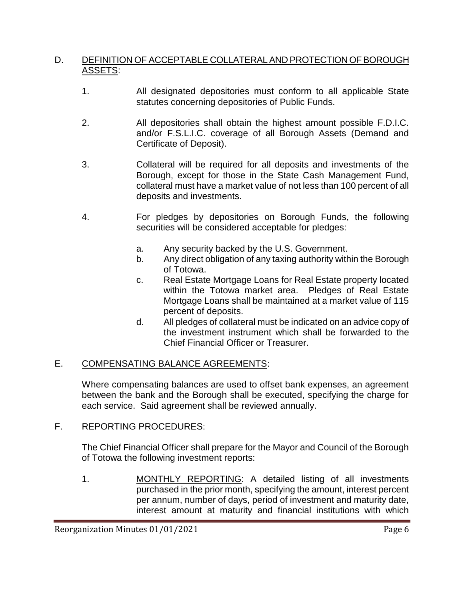#### D. DEFINITION OF ACCEPTABLE COLLATERAL AND PROTECTION OF BOROUGH ASSETS:

- 1. All designated depositories must conform to all applicable State statutes concerning depositories of Public Funds.
- 2. All depositories shall obtain the highest amount possible F.D.I.C. and/or F.S.L.I.C. coverage of all Borough Assets (Demand and Certificate of Deposit).
- 3. Collateral will be required for all deposits and investments of the Borough, except for those in the State Cash Management Fund, collateral must have a market value of not less than 100 percent of all deposits and investments.
- 4. For pledges by depositories on Borough Funds, the following securities will be considered acceptable for pledges:
	- a. Any security backed by the U.S. Government.
	- b. Any direct obligation of any taxing authority within the Borough of Totowa.
	- c. Real Estate Mortgage Loans for Real Estate property located within the Totowa market area. Pledges of Real Estate Mortgage Loans shall be maintained at a market value of 115 percent of deposits.
	- d. All pledges of collateral must be indicated on an advice copy of the investment instrument which shall be forwarded to the Chief Financial Officer or Treasurer.

#### E. COMPENSATING BALANCE AGREEMENTS:

Where compensating balances are used to offset bank expenses, an agreement between the bank and the Borough shall be executed, specifying the charge for each service. Said agreement shall be reviewed annually.

#### F. REPORTING PROCEDURES:

The Chief Financial Officer shall prepare for the Mayor and Council of the Borough of Totowa the following investment reports:

1. MONTHLY REPORTING: A detailed listing of all investments purchased in the prior month, specifying the amount, interest percent per annum, number of days, period of investment and maturity date, interest amount at maturity and financial institutions with which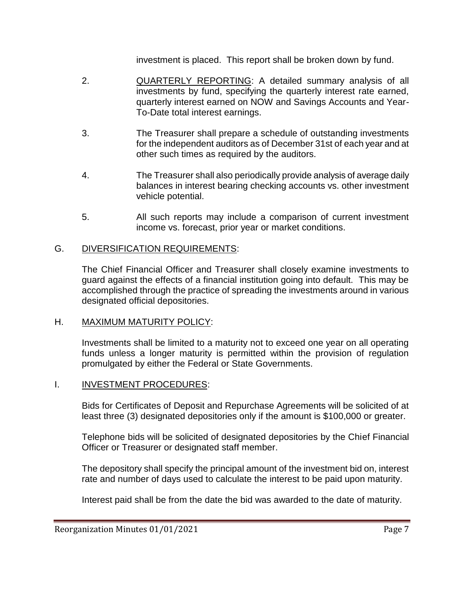investment is placed. This report shall be broken down by fund.

- 2. QUARTERLY REPORTING: A detailed summary analysis of all investments by fund, specifying the quarterly interest rate earned, quarterly interest earned on NOW and Savings Accounts and Year-To-Date total interest earnings.
- 3. The Treasurer shall prepare a schedule of outstanding investments for the independent auditors as of December 31st of each year and at other such times as required by the auditors.
- 4. The Treasurer shall also periodically provide analysis of average daily balances in interest bearing checking accounts vs. other investment vehicle potential.
- 5. All such reports may include a comparison of current investment income vs. forecast, prior year or market conditions.

#### G. DIVERSIFICATION REQUIREMENTS:

The Chief Financial Officer and Treasurer shall closely examine investments to guard against the effects of a financial institution going into default. This may be accomplished through the practice of spreading the investments around in various designated official depositories.

#### H. MAXIMUM MATURITY POLICY:

Investments shall be limited to a maturity not to exceed one year on all operating funds unless a longer maturity is permitted within the provision of regulation promulgated by either the Federal or State Governments.

#### I. INVESTMENT PROCEDURES:

Bids for Certificates of Deposit and Repurchase Agreements will be solicited of at least three (3) designated depositories only if the amount is \$100,000 or greater.

Telephone bids will be solicited of designated depositories by the Chief Financial Officer or Treasurer or designated staff member.

The depository shall specify the principal amount of the investment bid on, interest rate and number of days used to calculate the interest to be paid upon maturity.

Interest paid shall be from the date the bid was awarded to the date of maturity.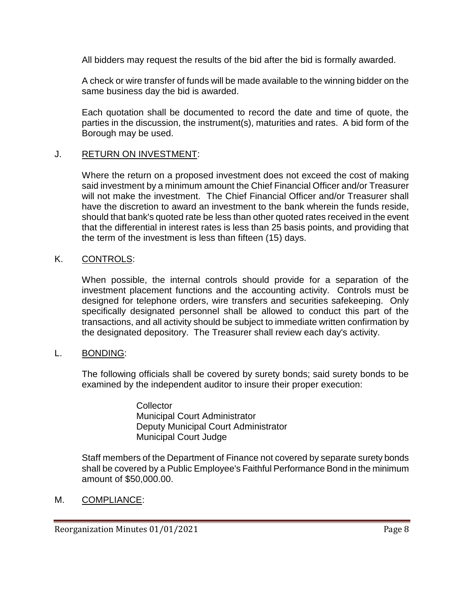All bidders may request the results of the bid after the bid is formally awarded.

A check or wire transfer of funds will be made available to the winning bidder on the same business day the bid is awarded.

Each quotation shall be documented to record the date and time of quote, the parties in the discussion, the instrument(s), maturities and rates. A bid form of the Borough may be used.

#### J. RETURN ON INVESTMENT:

Where the return on a proposed investment does not exceed the cost of making said investment by a minimum amount the Chief Financial Officer and/or Treasurer will not make the investment. The Chief Financial Officer and/or Treasurer shall have the discretion to award an investment to the bank wherein the funds reside, should that bank's quoted rate be less than other quoted rates received in the event that the differential in interest rates is less than 25 basis points, and providing that the term of the investment is less than fifteen (15) days.

#### K. CONTROLS:

When possible, the internal controls should provide for a separation of the investment placement functions and the accounting activity. Controls must be designed for telephone orders, wire transfers and securities safekeeping. Only specifically designated personnel shall be allowed to conduct this part of the transactions, and all activity should be subject to immediate written confirmation by the designated depository. The Treasurer shall review each day's activity.

#### L. BONDING:

The following officials shall be covered by surety bonds; said surety bonds to be examined by the independent auditor to insure their proper execution:

> **Collector** Municipal Court Administrator Deputy Municipal Court Administrator Municipal Court Judge

Staff members of the Department of Finance not covered by separate surety bonds shall be covered by a Public Employee's Faithful Performance Bond in the minimum amount of \$50,000.00.

M. COMPLIANCE: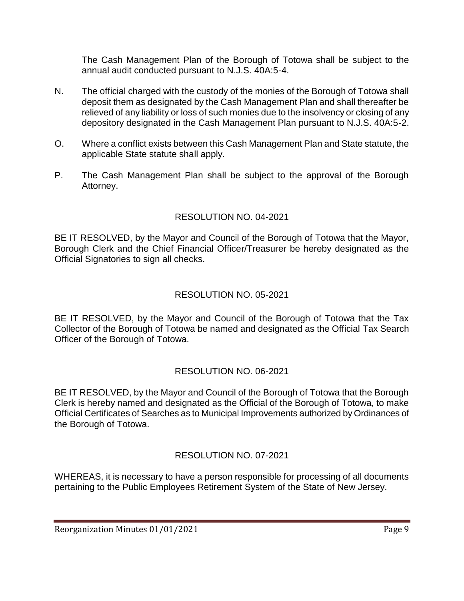The Cash Management Plan of the Borough of Totowa shall be subject to the annual audit conducted pursuant to N.J.S. 40A:5-4.

- N. The official charged with the custody of the monies of the Borough of Totowa shall deposit them as designated by the Cash Management Plan and shall thereafter be relieved of any liability or loss of such monies due to the insolvency or closing of any depository designated in the Cash Management Plan pursuant to N.J.S. 40A:5-2.
- O. Where a conflict exists between this Cash Management Plan and State statute, the applicable State statute shall apply.
- P. The Cash Management Plan shall be subject to the approval of the Borough Attorney.

# RESOLUTION NO. 04-2021

BE IT RESOLVED, by the Mayor and Council of the Borough of Totowa that the Mayor, Borough Clerk and the Chief Financial Officer/Treasurer be hereby designated as the Official Signatories to sign all checks.

# RESOLUTION NO. 05-2021

BE IT RESOLVED, by the Mayor and Council of the Borough of Totowa that the Tax Collector of the Borough of Totowa be named and designated as the Official Tax Search Officer of the Borough of Totowa.

# RESOLUTION NO. 06-2021

BE IT RESOLVED, by the Mayor and Council of the Borough of Totowa that the Borough Clerk is hereby named and designated as the Official of the Borough of Totowa, to make Official Certificates of Searches as to Municipal Improvements authorized by Ordinances of the Borough of Totowa.

# RESOLUTION NO. 07-2021

WHEREAS, it is necessary to have a person responsible for processing of all documents pertaining to the Public Employees Retirement System of the State of New Jersey.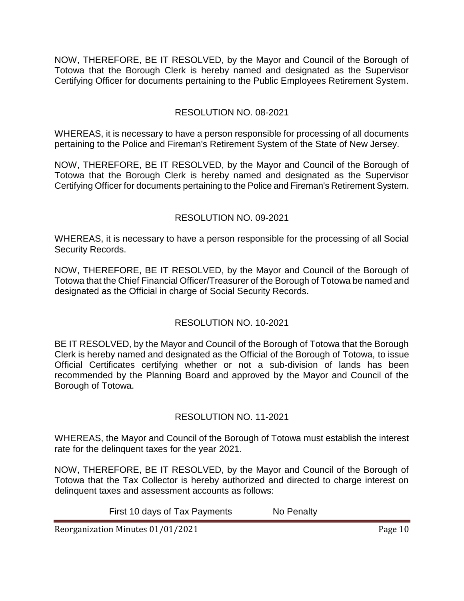NOW, THEREFORE, BE IT RESOLVED, by the Mayor and Council of the Borough of Totowa that the Borough Clerk is hereby named and designated as the Supervisor Certifying Officer for documents pertaining to the Public Employees Retirement System.

## RESOLUTION NO. 08-2021

WHEREAS, it is necessary to have a person responsible for processing of all documents pertaining to the Police and Fireman's Retirement System of the State of New Jersey.

NOW, THEREFORE, BE IT RESOLVED, by the Mayor and Council of the Borough of Totowa that the Borough Clerk is hereby named and designated as the Supervisor Certifying Officer for documents pertaining to the Police and Fireman's Retirement System.

## RESOLUTION NO. 09-2021

WHEREAS, it is necessary to have a person responsible for the processing of all Social Security Records.

NOW, THEREFORE, BE IT RESOLVED, by the Mayor and Council of the Borough of Totowa that the Chief Financial Officer/Treasurer of the Borough of Totowa be named and designated as the Official in charge of Social Security Records.

# RESOLUTION NO. 10-2021

BE IT RESOLVED, by the Mayor and Council of the Borough of Totowa that the Borough Clerk is hereby named and designated as the Official of the Borough of Totowa, to issue Official Certificates certifying whether or not a sub-division of lands has been recommended by the Planning Board and approved by the Mayor and Council of the Borough of Totowa.

#### RESOLUTION NO. 11-2021

WHEREAS, the Mayor and Council of the Borough of Totowa must establish the interest rate for the delinquent taxes for the year 2021.

NOW, THEREFORE, BE IT RESOLVED, by the Mayor and Council of the Borough of Totowa that the Tax Collector is hereby authorized and directed to charge interest on delinquent taxes and assessment accounts as follows:

First 10 days of Tax Payments No Penalty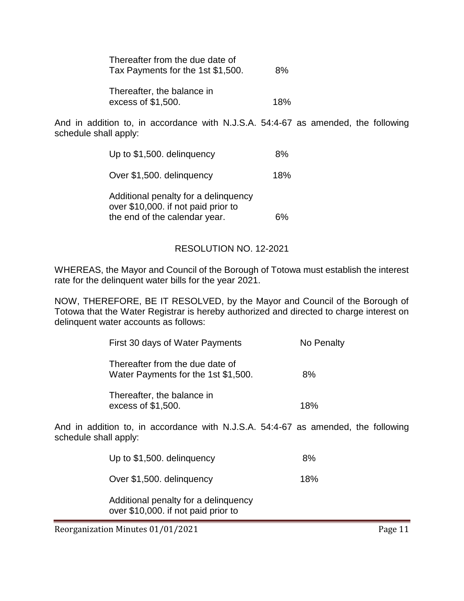| Thereafter from the due date of<br>Tax Payments for the 1st \$1,500. |  |  |
|----------------------------------------------------------------------|--|--|
| Thereafter, the balance in                                           |  |  |

excess of \$1,500. 18%

And in addition to, in accordance with N.J.S.A. 54:4-67 as amended, the following schedule shall apply:

| Up to \$1,500. delinquency                                                  | 8%  |
|-----------------------------------------------------------------------------|-----|
| Over \$1,500. delinquency                                                   | 18% |
| Additional penalty for a delinguency<br>over \$10,000. if not paid prior to |     |
| the end of the calendar year.                                               |     |

#### RESOLUTION NO. 12-2021

WHEREAS, the Mayor and Council of the Borough of Totowa must establish the interest rate for the delinquent water bills for the year 2021.

NOW, THEREFORE, BE IT RESOLVED, by the Mayor and Council of the Borough of Totowa that the Water Registrar is hereby authorized and directed to charge interest on delinquent water accounts as follows:

| First 30 days of Water Payments                                        | No Penalty |
|------------------------------------------------------------------------|------------|
| Thereafter from the due date of<br>Water Payments for the 1st \$1,500. | 8%         |
| Thereafter, the balance in<br>excess of \$1,500.                       | 18%        |

And in addition to, in accordance with N.J.S.A. 54:4-67 as amended, the following schedule shall apply:

Up to \$1,500. delinquency 8%

Over \$1,500. delinquency 18%

Additional penalty for a delinquency over \$10,000. if not paid prior to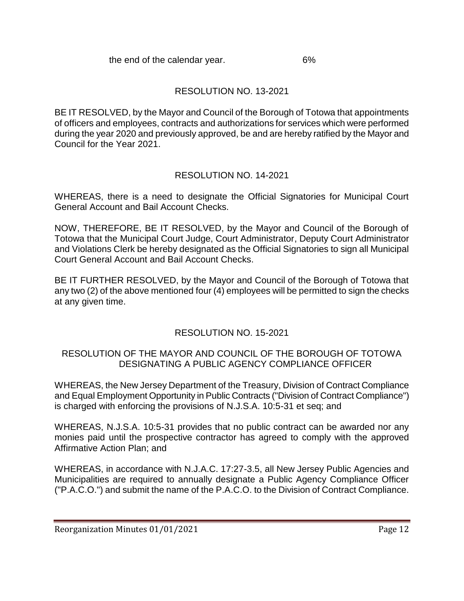# RESOLUTION NO. 13-2021

BE IT RESOLVED, by the Mayor and Council of the Borough of Totowa that appointments of officers and employees, contracts and authorizations for services which were performed during the year 2020 and previously approved, be and are hereby ratified by the Mayor and Council for the Year 2021.

# RESOLUTION NO. 14-2021

WHEREAS, there is a need to designate the Official Signatories for Municipal Court General Account and Bail Account Checks.

NOW, THEREFORE, BE IT RESOLVED, by the Mayor and Council of the Borough of Totowa that the Municipal Court Judge, Court Administrator, Deputy Court Administrator and Violations Clerk be hereby designated as the Official Signatories to sign all Municipal Court General Account and Bail Account Checks.

BE IT FURTHER RESOLVED, by the Mayor and Council of the Borough of Totowa that any two (2) of the above mentioned four (4) employees will be permitted to sign the checks at any given time.

# RESOLUTION NO. 15-2021

# RESOLUTION OF THE MAYOR AND COUNCIL OF THE BOROUGH OF TOTOWA DESIGNATING A PUBLIC AGENCY COMPLIANCE OFFICER

WHEREAS, the New Jersey Department of the Treasury, Division of Contract Compliance and Equal Employment Opportunity in Public Contracts ("Division of Contract Compliance") is charged with enforcing the provisions of N.J.S.A. 10:5-31 et seq; and

WHEREAS, N.J.S.A. 10:5-31 provides that no public contract can be awarded nor any monies paid until the prospective contractor has agreed to comply with the approved Affirmative Action Plan; and

WHEREAS, in accordance with N.J.A.C. 17:27-3.5, all New Jersey Public Agencies and Municipalities are required to annually designate a Public Agency Compliance Officer ("P.A.C.O.") and submit the name of the P.A.C.O. to the Division of Contract Compliance.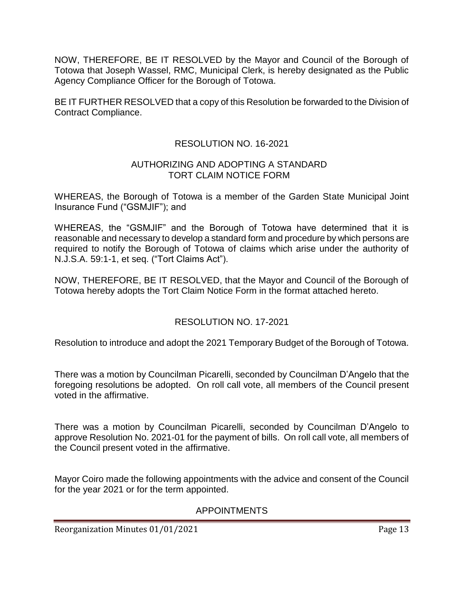NOW, THEREFORE, BE IT RESOLVED by the Mayor and Council of the Borough of Totowa that Joseph Wassel, RMC, Municipal Clerk, is hereby designated as the Public Agency Compliance Officer for the Borough of Totowa.

BE IT FURTHER RESOLVED that a copy of this Resolution be forwarded to the Division of Contract Compliance.

## RESOLUTION NO. 16-2021

#### AUTHORIZING AND ADOPTING A STANDARD TORT CLAIM NOTICE FORM

WHEREAS, the Borough of Totowa is a member of the Garden State Municipal Joint Insurance Fund ("GSMJIF"); and

WHEREAS, the "GSMJIF" and the Borough of Totowa have determined that it is reasonable and necessary to develop a standard form and procedure by which persons are required to notify the Borough of Totowa of claims which arise under the authority of N.J.S.A. 59:1-1, et seq. ("Tort Claims Act").

NOW, THEREFORE, BE IT RESOLVED, that the Mayor and Council of the Borough of Totowa hereby adopts the Tort Claim Notice Form in the format attached hereto.

# RESOLUTION NO. 17-2021

Resolution to introduce and adopt the 2021 Temporary Budget of the Borough of Totowa.

There was a motion by Councilman Picarelli, seconded by Councilman D'Angelo that the foregoing resolutions be adopted. On roll call vote, all members of the Council present voted in the affirmative.

There was a motion by Councilman Picarelli, seconded by Councilman D'Angelo to approve Resolution No. 2021-01 for the payment of bills. On roll call vote, all members of the Council present voted in the affirmative.

Mayor Coiro made the following appointments with the advice and consent of the Council for the year 2021 or for the term appointed.

#### APPOINTMENTS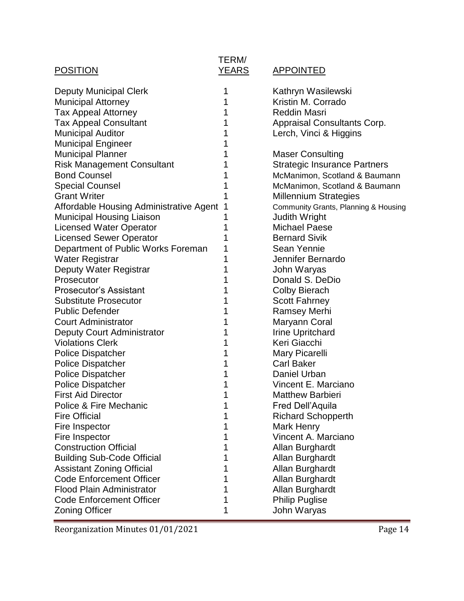# POSITION YEARS APPOINTED

# TERM/<br><u>YEARS</u>

| <b>Deputy Municipal Clerk</b>           | 1 | Kathryn Wasilewski                   |
|-----------------------------------------|---|--------------------------------------|
| <b>Municipal Attorney</b>               |   | Kristin M. Corrado                   |
| Tax Appeal Attorney                     | 1 | <b>Reddin Masri</b>                  |
| <b>Tax Appeal Consultant</b>            |   | Appraisal Consultants Corp.          |
| <b>Municipal Auditor</b>                | 1 | Lerch, Vinci & Higgins               |
| <b>Municipal Engineer</b>               |   |                                      |
| <b>Municipal Planner</b>                |   | <b>Maser Consulting</b>              |
| <b>Risk Management Consultant</b>       |   | <b>Strategic Insurance Partners</b>  |
| <b>Bond Counsel</b>                     |   | McManimon, Scotland & Baumann        |
| <b>Special Counsel</b>                  |   | McManimon, Scotland & Baumann        |
| <b>Grant Writer</b>                     |   | <b>Millennium Strategies</b>         |
| Affordable Housing Administrative Agent |   | Community Grants, Planning & Housing |
| Municipal Housing Liaison               |   | <b>Judith Wright</b>                 |
| <b>Licensed Water Operator</b>          |   | <b>Michael Paese</b>                 |
| <b>Licensed Sewer Operator</b>          |   | <b>Bernard Sivik</b>                 |
| Department of Public Works Foreman      |   | Sean Yennie                          |
| Water Registrar                         |   | Jennifer Bernardo                    |
| Deputy Water Registrar                  |   | John Waryas                          |
| Prosecutor                              |   | Donald S. DeDio                      |
| <b>Prosecutor's Assistant</b>           |   | <b>Colby Bierach</b>                 |
| <b>Substitute Prosecutor</b>            |   | <b>Scott Fahrney</b>                 |
| <b>Public Defender</b>                  |   | <b>Ramsey Merhi</b>                  |
| <b>Court Administrator</b>              | 1 | Maryann Coral                        |
| Deputy Court Administrator              |   | <b>Irine Upritchard</b>              |
| <b>Violations Clerk</b>                 | 1 | Keri Giacchi                         |
| <b>Police Dispatcher</b>                | 1 | Mary Picarelli                       |
| <b>Police Dispatcher</b>                |   | <b>Carl Baker</b>                    |
| <b>Police Dispatcher</b>                |   | Daniel Urban                         |
| <b>Police Dispatcher</b>                |   | Vincent E. Marciano                  |
| <b>First Aid Director</b>               |   | <b>Matthew Barbieri</b>              |
| <b>Police &amp; Fire Mechanic</b>       |   | <b>Fred Dell'Aquila</b>              |
| <b>Fire Official</b>                    | 1 | <b>Richard Schopperth</b>            |
| Fire Inspector                          |   | <b>Mark Henry</b>                    |
| Fire Inspector                          |   | Vincent A. Marciano                  |
| <b>Construction Official</b>            |   | Allan Burghardt                      |
| <b>Building Sub-Code Official</b>       |   | Allan Burghardt                      |
| <b>Assistant Zoning Official</b>        |   | Allan Burghardt                      |
| <b>Code Enforcement Officer</b>         |   | Allan Burghardt                      |
| <b>Flood Plain Administrator</b>        |   | Allan Burghardt                      |
| <b>Code Enforcement Officer</b>         |   | <b>Philip Puglise</b>                |
| Zoning Officer                          | 1 | John Waryas                          |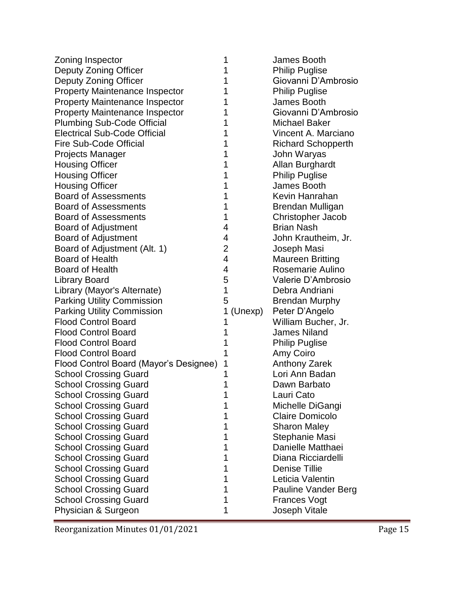| Zoning Inspector                       | 1              | James Booth               |
|----------------------------------------|----------------|---------------------------|
| Deputy Zoning Officer                  | 1              | <b>Philip Puglise</b>     |
| Deputy Zoning Officer                  | 1              | Giovanni D'Ambrosio       |
| <b>Property Maintenance Inspector</b>  | 1              | <b>Philip Puglise</b>     |
| <b>Property Maintenance Inspector</b>  |                | James Booth               |
| <b>Property Maintenance Inspector</b>  | 1              | Giovanni D'Ambrosio       |
| <b>Plumbing Sub-Code Official</b>      | 1              | <b>Michael Baker</b>      |
| <b>Electrical Sub-Code Official</b>    | 1              | Vincent A. Marciano       |
| Fire Sub-Code Official                 | 1              | <b>Richard Schopperth</b> |
| <b>Projects Manager</b>                | 1              | John Waryas               |
| <b>Housing Officer</b>                 | 1              | Allan Burghardt           |
| <b>Housing Officer</b>                 | 1              | <b>Philip Puglise</b>     |
| <b>Housing Officer</b>                 | 1              | James Booth               |
| <b>Board of Assessments</b>            | 1              | Kevin Hanrahan            |
| <b>Board of Assessments</b>            | 1              | Brendan Mulligan          |
| <b>Board of Assessments</b>            | 1              | Christopher Jacob         |
| <b>Board of Adjustment</b>             | 4              | <b>Brian Nash</b>         |
| <b>Board of Adjustment</b>             | 4              | John Krautheim, Jr.       |
| Board of Adjustment (Alt. 1)           | $\overline{2}$ | Joseph Masi               |
| <b>Board of Health</b>                 | 4              | <b>Maureen Britting</b>   |
| Board of Health                        | 4              | Rosemarie Aulino          |
| <b>Library Board</b>                   | 5              | Valerie D'Ambrosio        |
| Library (Mayor's Alternate)            | 1              | Debra Andriani            |
| <b>Parking Utility Commission</b>      | 5              | <b>Brendan Murphy</b>     |
| <b>Parking Utility Commission</b>      | (Unexp)<br>1   | Peter D'Angelo            |
| <b>Flood Control Board</b>             | 1              | William Bucher, Jr.       |
| <b>Flood Control Board</b>             | 1              | <b>James Niland</b>       |
| <b>Flood Control Board</b>             | 1              | <b>Philip Puglise</b>     |
| <b>Flood Control Board</b>             |                | Amy Coiro                 |
| Flood Control Board (Mayor's Designee) | 1              | <b>Anthony Zarek</b>      |
| <b>School Crossing Guard</b>           |                | Lori Ann Badan            |
| <b>School Crossing Guard</b>           | 1              | Dawn Barbato              |
| <b>School Crossing Guard</b>           |                | Lauri Cato                |
| <b>School Crossing Guard</b>           | 1              | Michelle DiGangi          |
| <b>School Crossing Guard</b>           |                | <b>Claire Domicolo</b>    |
| <b>School Crossing Guard</b>           | 1              | <b>Sharon Maley</b>       |
| <b>School Crossing Guard</b>           | 1              | Stephanie Masi            |
| <b>School Crossing Guard</b>           | 1              | Danielle Matthaei         |
| <b>School Crossing Guard</b>           | 1              | Diana Ricciardelli        |
| <b>School Crossing Guard</b>           | 1              | <b>Denise Tillie</b>      |
| <b>School Crossing Guard</b>           | 1              | Leticia Valentin          |
| <b>School Crossing Guard</b>           | 1              | Pauline Vander Berg       |
| <b>School Crossing Guard</b>           | 1              | <b>Frances Vogt</b>       |
| Physician & Surgeon                    | 1              | Joseph Vitale             |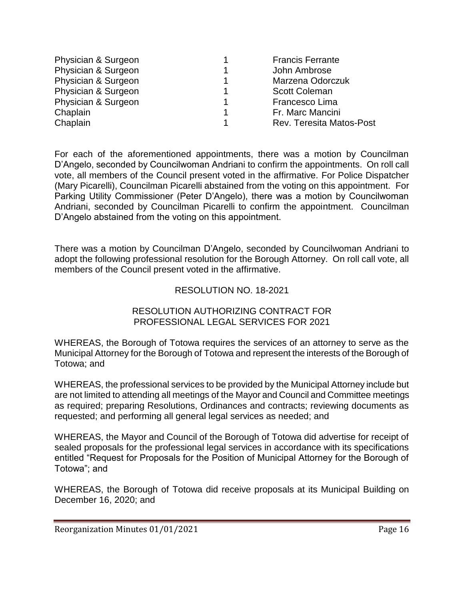| Physician & Surgeon |    | <b>Francis Ferrante</b>  |
|---------------------|----|--------------------------|
| Physician & Surgeon |    | John Ambrose             |
| Physician & Surgeon |    | Marzena Odorczuk         |
| Physician & Surgeon | 1. | <b>Scott Coleman</b>     |
| Physician & Surgeon |    | Francesco Lima           |
| Chaplain            |    | Fr. Marc Mancini         |
| Chaplain            |    | Rev. Teresita Matos-Post |

For each of the aforementioned appointments, there was a motion by Councilman D'Angelo, seconded by Councilwoman Andriani to confirm the appointments. On roll call vote, all members of the Council present voted in the affirmative. For Police Dispatcher (Mary Picarelli), Councilman Picarelli abstained from the voting on this appointment. For Parking Utility Commissioner (Peter D'Angelo), there was a motion by Councilwoman Andriani, seconded by Councilman Picarelli to confirm the appointment. Councilman D'Angelo abstained from the voting on this appointment.

There was a motion by Councilman D'Angelo, seconded by Councilwoman Andriani to adopt the following professional resolution for the Borough Attorney. On roll call vote, all members of the Council present voted in the affirmative.

#### RESOLUTION NO. 18-2021

#### RESOLUTION AUTHORIZING CONTRACT FOR PROFESSIONAL LEGAL SERVICES FOR 2021

WHEREAS, the Borough of Totowa requires the services of an attorney to serve as the Municipal Attorney for the Borough of Totowa and represent the interests of the Borough of Totowa; and

WHEREAS, the professional services to be provided by the Municipal Attorney include but are not limited to attending all meetings of the Mayor and Council and Committee meetings as required; preparing Resolutions, Ordinances and contracts; reviewing documents as requested; and performing all general legal services as needed; and

WHEREAS, the Mayor and Council of the Borough of Totowa did advertise for receipt of sealed proposals for the professional legal services in accordance with its specifications entitled "Request for Proposals for the Position of Municipal Attorney for the Borough of Totowa"; and

WHEREAS, the Borough of Totowa did receive proposals at its Municipal Building on December 16, 2020; and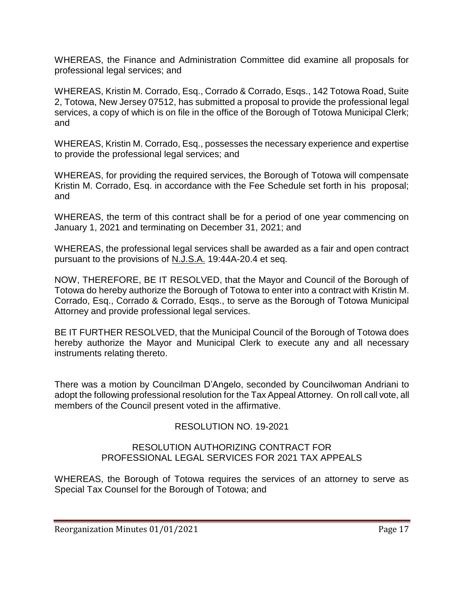WHEREAS, the Finance and Administration Committee did examine all proposals for professional legal services; and

WHEREAS, Kristin M. Corrado, Esq., Corrado & Corrado, Esqs., 142 Totowa Road, Suite 2, Totowa, New Jersey 07512, has submitted a proposal to provide the professional legal services, a copy of which is on file in the office of the Borough of Totowa Municipal Clerk; and

WHEREAS, Kristin M. Corrado, Esq., possesses the necessary experience and expertise to provide the professional legal services; and

WHEREAS, for providing the required services, the Borough of Totowa will compensate Kristin M. Corrado, Esq. in accordance with the Fee Schedule set forth in his proposal; and

WHEREAS, the term of this contract shall be for a period of one year commencing on January 1, 2021 and terminating on December 31, 2021; and

WHEREAS, the professional legal services shall be awarded as a fair and open contract pursuant to the provisions of N.J.S.A. 19:44A-20.4 et seq.

NOW, THEREFORE, BE IT RESOLVED, that the Mayor and Council of the Borough of Totowa do hereby authorize the Borough of Totowa to enter into a contract with Kristin M. Corrado, Esq., Corrado & Corrado, Esqs., to serve as the Borough of Totowa Municipal Attorney and provide professional legal services.

BE IT FURTHER RESOLVED, that the Municipal Council of the Borough of Totowa does hereby authorize the Mayor and Municipal Clerk to execute any and all necessary instruments relating thereto.

There was a motion by Councilman D'Angelo, seconded by Councilwoman Andriani to adopt the following professional resolution for the Tax Appeal Attorney. On roll call vote, all members of the Council present voted in the affirmative.

# RESOLUTION NO. 19-2021

#### RESOLUTION AUTHORIZING CONTRACT FOR PROFESSIONAL LEGAL SERVICES FOR 2021 TAX APPEALS

WHEREAS, the Borough of Totowa requires the services of an attorney to serve as Special Tax Counsel for the Borough of Totowa; and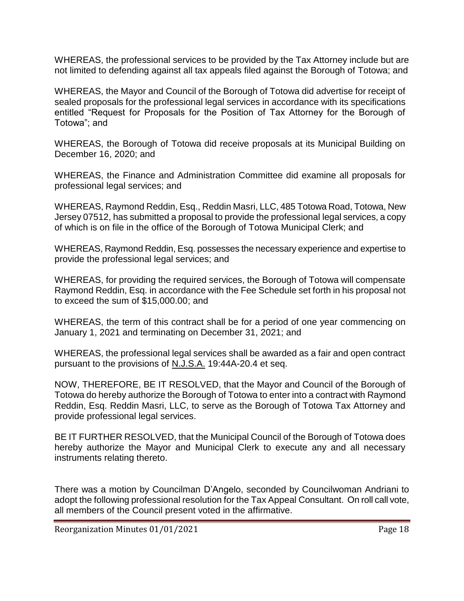WHEREAS, the professional services to be provided by the Tax Attorney include but are not limited to defending against all tax appeals filed against the Borough of Totowa; and

WHEREAS, the Mayor and Council of the Borough of Totowa did advertise for receipt of sealed proposals for the professional legal services in accordance with its specifications entitled "Request for Proposals for the Position of Tax Attorney for the Borough of Totowa"; and

WHEREAS, the Borough of Totowa did receive proposals at its Municipal Building on December 16, 2020; and

WHEREAS, the Finance and Administration Committee did examine all proposals for professional legal services; and

WHEREAS, Raymond Reddin, Esq., Reddin Masri, LLC, 485 Totowa Road, Totowa, New Jersey 07512, has submitted a proposal to provide the professional legal services, a copy of which is on file in the office of the Borough of Totowa Municipal Clerk; and

WHEREAS, Raymond Reddin, Esq. possesses the necessary experience and expertise to provide the professional legal services; and

WHEREAS, for providing the required services, the Borough of Totowa will compensate Raymond Reddin, Esq. in accordance with the Fee Schedule set forth in his proposal not to exceed the sum of \$15,000.00; and

WHEREAS, the term of this contract shall be for a period of one year commencing on January 1, 2021 and terminating on December 31, 2021; and

WHEREAS, the professional legal services shall be awarded as a fair and open contract pursuant to the provisions of N.J.S.A. 19:44A-20.4 et seq.

NOW, THEREFORE, BE IT RESOLVED, that the Mayor and Council of the Borough of Totowa do hereby authorize the Borough of Totowa to enter into a contract with Raymond Reddin, Esq. Reddin Masri, LLC, to serve as the Borough of Totowa Tax Attorney and provide professional legal services.

BE IT FURTHER RESOLVED, that the Municipal Council of the Borough of Totowa does hereby authorize the Mayor and Municipal Clerk to execute any and all necessary instruments relating thereto.

There was a motion by Councilman D'Angelo, seconded by Councilwoman Andriani to adopt the following professional resolution for the Tax Appeal Consultant. On roll call vote, all members of the Council present voted in the affirmative.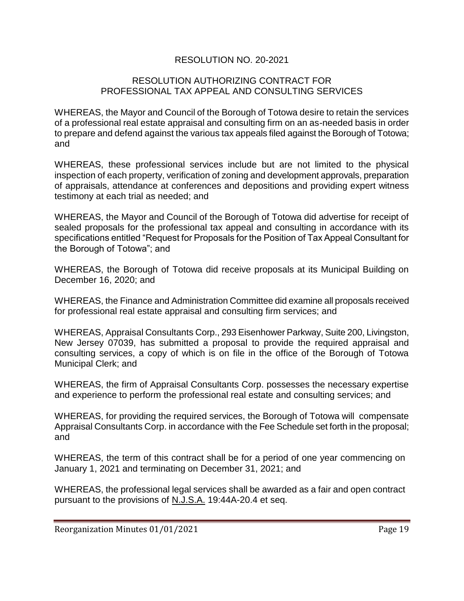#### RESOLUTION NO. 20-2021

#### RESOLUTION AUTHORIZING CONTRACT FOR PROFESSIONAL TAX APPEAL AND CONSULTING SERVICES

WHEREAS, the Mayor and Council of the Borough of Totowa desire to retain the services of a professional real estate appraisal and consulting firm on an as-needed basis in order to prepare and defend against the various tax appeals filed against the Borough of Totowa; and

WHEREAS, these professional services include but are not limited to the physical inspection of each property, verification of zoning and development approvals, preparation of appraisals, attendance at conferences and depositions and providing expert witness testimony at each trial as needed; and

WHEREAS, the Mayor and Council of the Borough of Totowa did advertise for receipt of sealed proposals for the professional tax appeal and consulting in accordance with its specifications entitled "Request for Proposals for the Position of Tax Appeal Consultant for the Borough of Totowa"; and

WHEREAS, the Borough of Totowa did receive proposals at its Municipal Building on December 16, 2020; and

WHEREAS, the Finance and Administration Committee did examine all proposals received for professional real estate appraisal and consulting firm services; and

WHEREAS, Appraisal Consultants Corp., 293 Eisenhower Parkway, Suite 200, Livingston, New Jersey 07039, has submitted a proposal to provide the required appraisal and consulting services, a copy of which is on file in the office of the Borough of Totowa Municipal Clerk; and

WHEREAS, the firm of Appraisal Consultants Corp. possesses the necessary expertise and experience to perform the professional real estate and consulting services; and

WHEREAS, for providing the required services, the Borough of Totowa will compensate Appraisal Consultants Corp. in accordance with the Fee Schedule set forth in the proposal; and

WHEREAS, the term of this contract shall be for a period of one year commencing on January 1, 2021 and terminating on December 31, 2021; and

WHEREAS, the professional legal services shall be awarded as a fair and open contract pursuant to the provisions of N.J.S.A. 19:44A-20.4 et seq.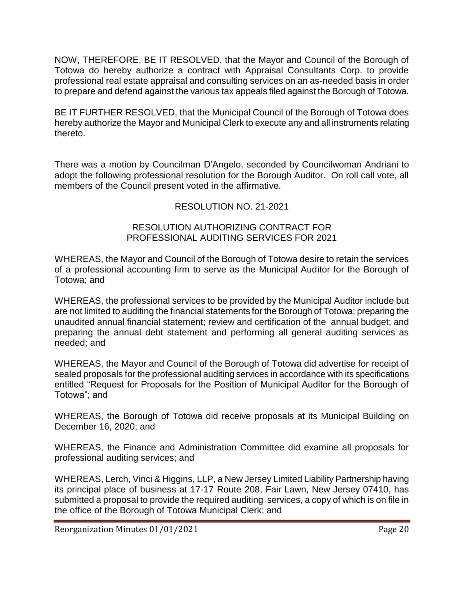NOW, THEREFORE, BE IT RESOLVED, that the Mayor and Council of the Borough of Totowa do hereby authorize a contract with Appraisal Consultants Corp. to provide professional real estate appraisal and consulting services on an as-needed basis in order to prepare and defend against the various tax appeals filed against the Borough of Totowa.

BE IT FURTHER RESOLVED, that the Municipal Council of the Borough of Totowa does hereby authorize the Mayor and Municipal Clerk to execute any and all instruments relating thereto.

There was a motion by Councilman D'Angelo, seconded by Councilwoman Andriani to adopt the following professional resolution for the Borough Auditor. On roll call vote, all members of the Council present voted in the affirmative.

## RESOLUTION NO. 21-2021

#### RESOLUTION AUTHORIZING CONTRACT FOR PROFESSIONAL AUDITING SERVICES FOR 2021

WHEREAS, the Mayor and Council of the Borough of Totowa desire to retain the services of a professional accounting firm to serve as the Municipal Auditor for the Borough of Totowa; and

WHEREAS, the professional services to be provided by the Municipal Auditor include but are not limited to auditing the financial statements for the Borough of Totowa; preparing the unaudited annual financial statement; review and certification of the annual budget; and preparing the annual debt statement and performing all general auditing services as needed; and

WHEREAS, the Mayor and Council of the Borough of Totowa did advertise for receipt of sealed proposals for the professional auditing services in accordance with its specifications entitled "Request for Proposals for the Position of Municipal Auditor for the Borough of Totowa"; and

WHEREAS, the Borough of Totowa did receive proposals at its Municipal Building on December 16, 2020; and

WHEREAS, the Finance and Administration Committee did examine all proposals for professional auditing services; and

WHEREAS, Lerch, Vinci & Higgins, LLP, a New Jersey Limited Liability Partnership having its principal place of business at 17-17 Route 208, Fair Lawn, New Jersey 07410, has submitted a proposal to provide the required auditing services, a copy of which is on file in the office of the Borough of Totowa Municipal Clerk; and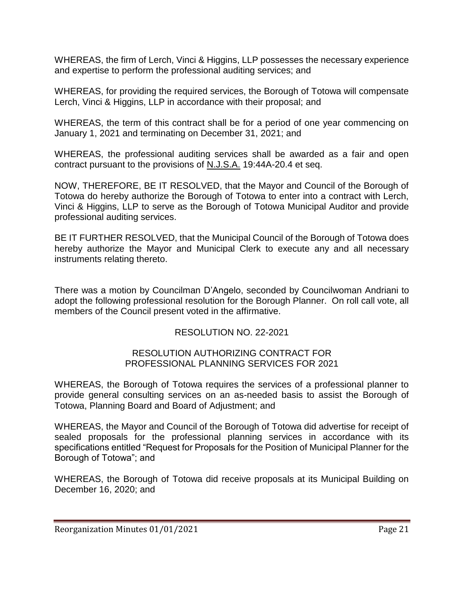WHEREAS, the firm of Lerch, Vinci & Higgins, LLP possesses the necessary experience and expertise to perform the professional auditing services; and

WHEREAS, for providing the required services, the Borough of Totowa will compensate Lerch, Vinci & Higgins, LLP in accordance with their proposal; and

WHEREAS, the term of this contract shall be for a period of one year commencing on January 1, 2021 and terminating on December 31, 2021; and

WHEREAS, the professional auditing services shall be awarded as a fair and open contract pursuant to the provisions of N.J.S.A. 19:44A-20.4 et seq.

NOW, THEREFORE, BE IT RESOLVED, that the Mayor and Council of the Borough of Totowa do hereby authorize the Borough of Totowa to enter into a contract with Lerch, Vinci & Higgins, LLP to serve as the Borough of Totowa Municipal Auditor and provide professional auditing services.

BE IT FURTHER RESOLVED, that the Municipal Council of the Borough of Totowa does hereby authorize the Mayor and Municipal Clerk to execute any and all necessary instruments relating thereto.

There was a motion by Councilman D'Angelo, seconded by Councilwoman Andriani to adopt the following professional resolution for the Borough Planner. On roll call vote, all members of the Council present voted in the affirmative.

#### RESOLUTION NO. 22-2021

#### RESOLUTION AUTHORIZING CONTRACT FOR PROFESSIONAL PLANNING SERVICES FOR 2021

WHEREAS, the Borough of Totowa requires the services of a professional planner to provide general consulting services on an as-needed basis to assist the Borough of Totowa, Planning Board and Board of Adjustment; and

WHEREAS, the Mayor and Council of the Borough of Totowa did advertise for receipt of sealed proposals for the professional planning services in accordance with its specifications entitled "Request for Proposals for the Position of Municipal Planner for the Borough of Totowa"; and

WHEREAS, the Borough of Totowa did receive proposals at its Municipal Building on December 16, 2020; and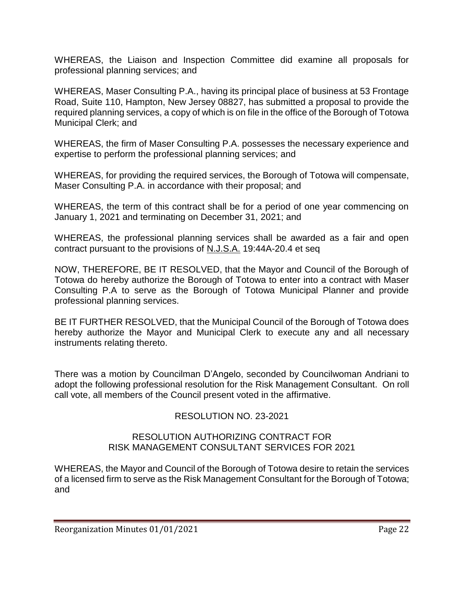WHEREAS, the Liaison and Inspection Committee did examine all proposals for professional planning services; and

WHEREAS, Maser Consulting P.A., having its principal place of business at 53 Frontage Road, Suite 110, Hampton, New Jersey 08827, has submitted a proposal to provide the required planning services, a copy of which is on file in the office of the Borough of Totowa Municipal Clerk; and

WHEREAS, the firm of Maser Consulting P.A. possesses the necessary experience and expertise to perform the professional planning services; and

WHEREAS, for providing the required services, the Borough of Totowa will compensate, Maser Consulting P.A. in accordance with their proposal; and

WHEREAS, the term of this contract shall be for a period of one year commencing on January 1, 2021 and terminating on December 31, 2021; and

WHEREAS, the professional planning services shall be awarded as a fair and open contract pursuant to the provisions of N.J.S.A. 19:44A-20.4 et seq

NOW, THEREFORE, BE IT RESOLVED, that the Mayor and Council of the Borough of Totowa do hereby authorize the Borough of Totowa to enter into a contract with Maser Consulting P.A to serve as the Borough of Totowa Municipal Planner and provide professional planning services.

BE IT FURTHER RESOLVED, that the Municipal Council of the Borough of Totowa does hereby authorize the Mayor and Municipal Clerk to execute any and all necessary instruments relating thereto.

There was a motion by Councilman D'Angelo, seconded by Councilwoman Andriani to adopt the following professional resolution for the Risk Management Consultant. On roll call vote, all members of the Council present voted in the affirmative.

#### RESOLUTION NO. 23-2021

#### RESOLUTION AUTHORIZING CONTRACT FOR RISK MANAGEMENT CONSULTANT SERVICES FOR 2021

WHEREAS, the Mayor and Council of the Borough of Totowa desire to retain the services of a licensed firm to serve as the Risk Management Consultant for the Borough of Totowa; and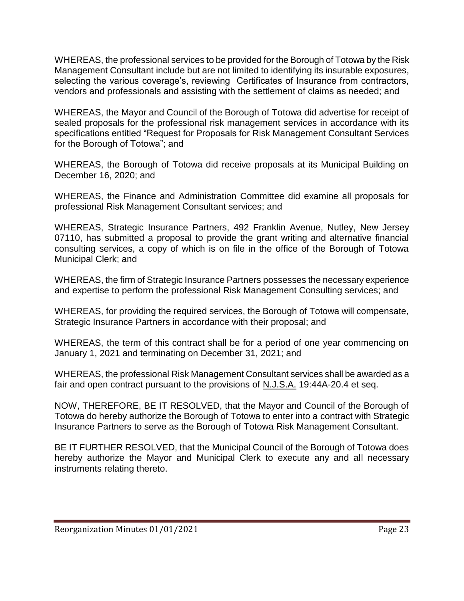WHEREAS, the professional services to be provided for the Borough of Totowa by the Risk Management Consultant include but are not limited to identifying its insurable exposures, selecting the various coverage's, reviewing Certificates of Insurance from contractors, vendors and professionals and assisting with the settlement of claims as needed; and

WHEREAS, the Mayor and Council of the Borough of Totowa did advertise for receipt of sealed proposals for the professional risk management services in accordance with its specifications entitled "Request for Proposals for Risk Management Consultant Services for the Borough of Totowa"; and

WHEREAS, the Borough of Totowa did receive proposals at its Municipal Building on December 16, 2020; and

WHEREAS, the Finance and Administration Committee did examine all proposals for professional Risk Management Consultant services; and

WHEREAS, Strategic Insurance Partners, 492 Franklin Avenue, Nutley, New Jersey 07110, has submitted a proposal to provide the grant writing and alternative financial consulting services, a copy of which is on file in the office of the Borough of Totowa Municipal Clerk; and

WHEREAS, the firm of Strategic Insurance Partners possesses the necessary experience and expertise to perform the professional Risk Management Consulting services; and

WHEREAS, for providing the required services, the Borough of Totowa will compensate, Strategic Insurance Partners in accordance with their proposal; and

WHEREAS, the term of this contract shall be for a period of one year commencing on January 1, 2021 and terminating on December 31, 2021; and

WHEREAS, the professional Risk Management Consultant services shall be awarded as a fair and open contract pursuant to the provisions of N.J.S.A. 19:44A-20.4 et seq.

NOW, THEREFORE, BE IT RESOLVED, that the Mayor and Council of the Borough of Totowa do hereby authorize the Borough of Totowa to enter into a contract with Strategic Insurance Partners to serve as the Borough of Totowa Risk Management Consultant.

BE IT FURTHER RESOLVED, that the Municipal Council of the Borough of Totowa does hereby authorize the Mayor and Municipal Clerk to execute any and all necessary instruments relating thereto.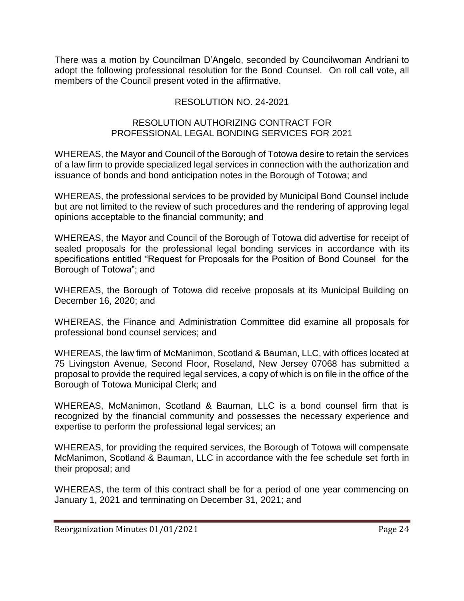There was a motion by Councilman D'Angelo, seconded by Councilwoman Andriani to adopt the following professional resolution for the Bond Counsel. On roll call vote, all members of the Council present voted in the affirmative.

# RESOLUTION NO. 24-2021

#### RESOLUTION AUTHORIZING CONTRACT FOR PROFESSIONAL LEGAL BONDING SERVICES FOR 2021

WHEREAS, the Mayor and Council of the Borough of Totowa desire to retain the services of a law firm to provide specialized legal services in connection with the authorization and issuance of bonds and bond anticipation notes in the Borough of Totowa; and

WHEREAS, the professional services to be provided by Municipal Bond Counsel include but are not limited to the review of such procedures and the rendering of approving legal opinions acceptable to the financial community; and

WHEREAS, the Mayor and Council of the Borough of Totowa did advertise for receipt of sealed proposals for the professional legal bonding services in accordance with its specifications entitled "Request for Proposals for the Position of Bond Counsel for the Borough of Totowa"; and

WHEREAS, the Borough of Totowa did receive proposals at its Municipal Building on December 16, 2020; and

WHEREAS, the Finance and Administration Committee did examine all proposals for professional bond counsel services; and

WHEREAS, the law firm of McManimon, Scotland & Bauman, LLC, with offices located at 75 Livingston Avenue, Second Floor, Roseland, New Jersey 07068 has submitted a proposal to provide the required legal services, a copy of which is on file in the office of the Borough of Totowa Municipal Clerk; and

WHEREAS, McManimon, Scotland & Bauman, LLC is a bond counsel firm that is recognized by the financial community and possesses the necessary experience and expertise to perform the professional legal services; an

WHEREAS, for providing the required services, the Borough of Totowa will compensate McManimon, Scotland & Bauman, LLC in accordance with the fee schedule set forth in their proposal; and

WHEREAS, the term of this contract shall be for a period of one year commencing on January 1, 2021 and terminating on December 31, 2021; and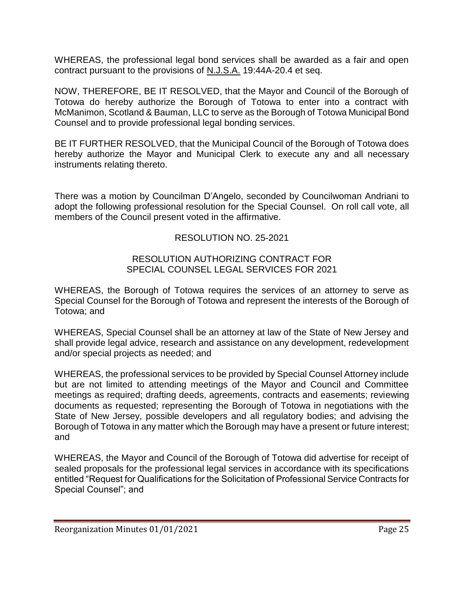WHEREAS, the professional legal bond services shall be awarded as a fair and open contract pursuant to the provisions of N.J.S.A. 19:44A-20.4 et seq.

NOW, THEREFORE, BE IT RESOLVED, that the Mayor and Council of the Borough of Totowa do hereby authorize the Borough of Totowa to enter into a contract with McManimon, Scotland & Bauman, LLC to serve as the Borough of Totowa Municipal Bond Counsel and to provide professional legal bonding services.

BE IT FURTHER RESOLVED, that the Municipal Council of the Borough of Totowa does hereby authorize the Mayor and Municipal Clerk to execute any and all necessary instruments relating thereto.

There was a motion by Councilman D'Angelo, seconded by Councilwoman Andriani to adopt the following professional resolution for the Special Counsel. On roll call vote, all members of the Council present voted in the affirmative.

#### RESOLUTION NO. 25-2021

#### RESOLUTION AUTHORIZING CONTRACT FOR SPECIAL COUNSEL LEGAL SERVICES FOR 2021

WHEREAS, the Borough of Totowa requires the services of an attorney to serve as Special Counsel for the Borough of Totowa and represent the interests of the Borough of Totowa; and

WHEREAS, Special Counsel shall be an attorney at law of the State of New Jersey and shall provide legal advice, research and assistance on any development, redevelopment and/or special projects as needed; and

WHEREAS, the professional services to be provided by Special Counsel Attorney include but are not limited to attending meetings of the Mayor and Council and Committee meetings as required; drafting deeds, agreements, contracts and easements; reviewing documents as requested; representing the Borough of Totowa in negotiations with the State of New Jersey, possible developers and all regulatory bodies; and advising the Borough of Totowa in any matter which the Borough may have a present or future interest; and

WHEREAS, the Mayor and Council of the Borough of Totowa did advertise for receipt of sealed proposals for the professional legal services in accordance with its specifications entitled "Request for Qualifications for the Solicitation of Professional Service Contracts for Special Counsel"; and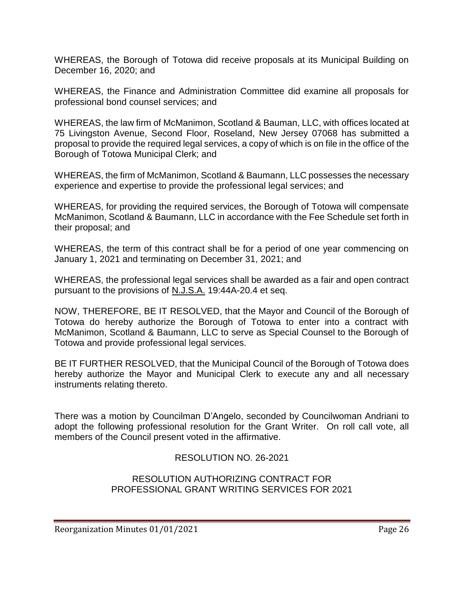WHEREAS, the Borough of Totowa did receive proposals at its Municipal Building on December 16, 2020; and

WHEREAS, the Finance and Administration Committee did examine all proposals for professional bond counsel services; and

WHEREAS, the law firm of McManimon, Scotland & Bauman, LLC, with offices located at 75 Livingston Avenue, Second Floor, Roseland, New Jersey 07068 has submitted a proposal to provide the required legal services, a copy of which is on file in the office of the Borough of Totowa Municipal Clerk; and

WHEREAS, the firm of McManimon, Scotland & Baumann, LLC possesses the necessary experience and expertise to provide the professional legal services; and

WHEREAS, for providing the required services, the Borough of Totowa will compensate McManimon, Scotland & Baumann, LLC in accordance with the Fee Schedule set forth in their proposal; and

WHEREAS, the term of this contract shall be for a period of one year commencing on January 1, 2021 and terminating on December 31, 2021; and

WHEREAS, the professional legal services shall be awarded as a fair and open contract pursuant to the provisions of N.J.S.A. 19:44A-20.4 et seq.

NOW, THEREFORE, BE IT RESOLVED, that the Mayor and Council of the Borough of Totowa do hereby authorize the Borough of Totowa to enter into a contract with McManimon, Scotland & Baumann, LLC to serve as Special Counsel to the Borough of Totowa and provide professional legal services.

BE IT FURTHER RESOLVED, that the Municipal Council of the Borough of Totowa does hereby authorize the Mayor and Municipal Clerk to execute any and all necessary instruments relating thereto.

There was a motion by Councilman D'Angelo, seconded by Councilwoman Andriani to adopt the following professional resolution for the Grant Writer. On roll call vote, all members of the Council present voted in the affirmative.

#### RESOLUTION NO. 26-2021

#### RESOLUTION AUTHORIZING CONTRACT FOR PROFESSIONAL GRANT WRITING SERVICES FOR 2021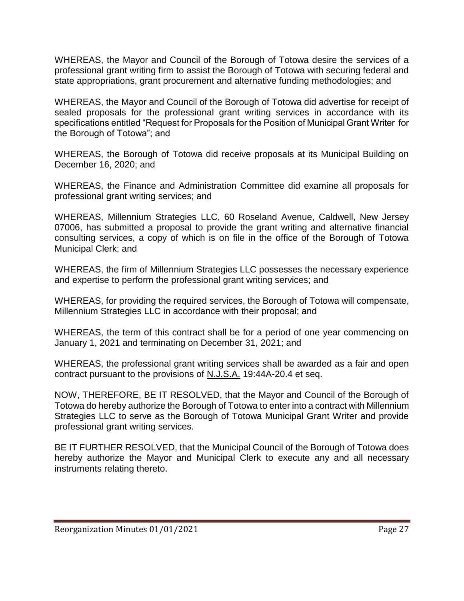WHEREAS, the Mayor and Council of the Borough of Totowa desire the services of a professional grant writing firm to assist the Borough of Totowa with securing federal and state appropriations, grant procurement and alternative funding methodologies; and

WHEREAS, the Mayor and Council of the Borough of Totowa did advertise for receipt of sealed proposals for the professional grant writing services in accordance with its specifications entitled "Request for Proposals for the Position of Municipal Grant Writer for the Borough of Totowa"; and

WHEREAS, the Borough of Totowa did receive proposals at its Municipal Building on December 16, 2020; and

WHEREAS, the Finance and Administration Committee did examine all proposals for professional grant writing services; and

WHEREAS, Millennium Strategies LLC, 60 Roseland Avenue, Caldwell, New Jersey 07006, has submitted a proposal to provide the grant writing and alternative financial consulting services, a copy of which is on file in the office of the Borough of Totowa Municipal Clerk; and

WHEREAS, the firm of Millennium Strategies LLC possesses the necessary experience and expertise to perform the professional grant writing services; and

WHEREAS, for providing the required services, the Borough of Totowa will compensate, Millennium Strategies LLC in accordance with their proposal; and

WHEREAS, the term of this contract shall be for a period of one year commencing on January 1, 2021 and terminating on December 31, 2021; and

WHEREAS, the professional grant writing services shall be awarded as a fair and open contract pursuant to the provisions of N.J.S.A. 19:44A-20.4 et seq.

NOW, THEREFORE, BE IT RESOLVED, that the Mayor and Council of the Borough of Totowa do hereby authorize the Borough of Totowa to enter into a contract with Millennium Strategies LLC to serve as the Borough of Totowa Municipal Grant Writer and provide professional grant writing services.

BE IT FURTHER RESOLVED, that the Municipal Council of the Borough of Totowa does hereby authorize the Mayor and Municipal Clerk to execute any and all necessary instruments relating thereto.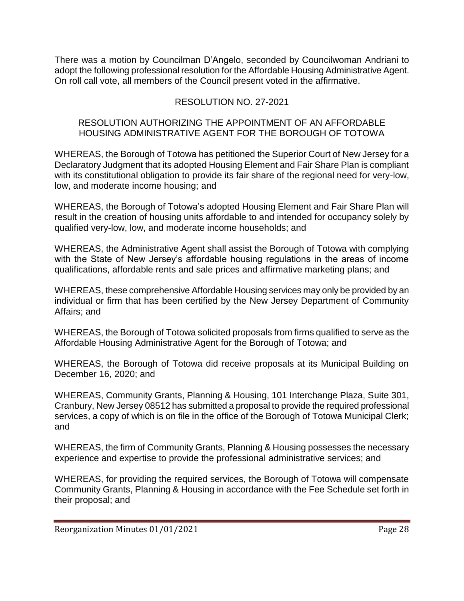There was a motion by Councilman D'Angelo, seconded by Councilwoman Andriani to adopt the following professional resolution for the Affordable Housing Administrative Agent. On roll call vote, all members of the Council present voted in the affirmative.

# RESOLUTION NO. 27-2021

#### RESOLUTION AUTHORIZING THE APPOINTMENT OF AN AFFORDABLE HOUSING ADMINISTRATIVE AGENT FOR THE BOROUGH OF TOTOWA

WHEREAS, the Borough of Totowa has petitioned the Superior Court of New Jersey for a Declaratory Judgment that its adopted Housing Element and Fair Share Plan is compliant with its constitutional obligation to provide its fair share of the regional need for very-low, low, and moderate income housing; and

WHEREAS, the Borough of Totowa's adopted Housing Element and Fair Share Plan will result in the creation of housing units affordable to and intended for occupancy solely by qualified very-low, low, and moderate income households; and

WHEREAS, the Administrative Agent shall assist the Borough of Totowa with complying with the State of New Jersey's affordable housing regulations in the areas of income qualifications, affordable rents and sale prices and affirmative marketing plans; and

WHEREAS, these comprehensive Affordable Housing services may only be provided by an individual or firm that has been certified by the New Jersey Department of Community Affairs; and

WHEREAS, the Borough of Totowa solicited proposals from firms qualified to serve as the Affordable Housing Administrative Agent for the Borough of Totowa; and

WHEREAS, the Borough of Totowa did receive proposals at its Municipal Building on December 16, 2020; and

WHEREAS, Community Grants, Planning & Housing, 101 Interchange Plaza, Suite 301, Cranbury, New Jersey 08512 has submitted a proposal to provide the required professional services, a copy of which is on file in the office of the Borough of Totowa Municipal Clerk; and

WHEREAS, the firm of Community Grants, Planning & Housing possesses the necessary experience and expertise to provide the professional administrative services; and

WHEREAS, for providing the required services, the Borough of Totowa will compensate Community Grants, Planning & Housing in accordance with the Fee Schedule set forth in their proposal; and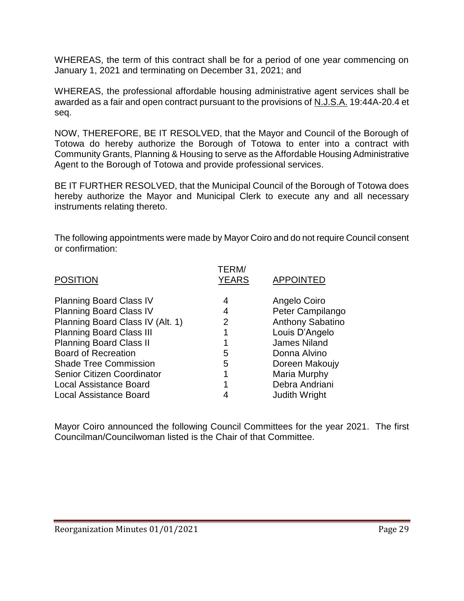WHEREAS, the term of this contract shall be for a period of one year commencing on January 1, 2021 and terminating on December 31, 2021; and

WHEREAS, the professional affordable housing administrative agent services shall be awarded as a fair and open contract pursuant to the provisions of N.J.S.A. 19:44A-20.4 et seq.

NOW, THEREFORE, BE IT RESOLVED, that the Mayor and Council of the Borough of Totowa do hereby authorize the Borough of Totowa to enter into a contract with Community Grants, Planning & Housing to serve as the Affordable Housing Administrative Agent to the Borough of Totowa and provide professional services.

BE IT FURTHER RESOLVED, that the Municipal Council of the Borough of Totowa does hereby authorize the Mayor and Municipal Clerk to execute any and all necessary instruments relating thereto.

The following appointments were made by Mayor Coiro and do not require Council consent or confirmation:

| <b>POSITION</b>                   | TERM/<br><b>YEARS</b> | <b>APPOINTED</b>     |
|-----------------------------------|-----------------------|----------------------|
| <b>Planning Board Class IV</b>    | 4                     | Angelo Coiro         |
| <b>Planning Board Class IV</b>    | 4                     | Peter Campilango     |
| Planning Board Class IV (Alt. 1)  | $\overline{2}$        | Anthony Sabatino     |
| <b>Planning Board Class III</b>   |                       | Louis D'Angelo       |
| <b>Planning Board Class II</b>    |                       | <b>James Niland</b>  |
| <b>Board of Recreation</b>        | 5                     | Donna Alvino         |
| <b>Shade Tree Commission</b>      | 5                     | Doreen Makoujy       |
| <b>Senior Citizen Coordinator</b> | 1                     | Maria Murphy         |
| <b>Local Assistance Board</b>     |                       | Debra Andriani       |
| <b>Local Assistance Board</b>     |                       | <b>Judith Wright</b> |
|                                   |                       |                      |

Mayor Coiro announced the following Council Committees for the year 2021. The first Councilman/Councilwoman listed is the Chair of that Committee.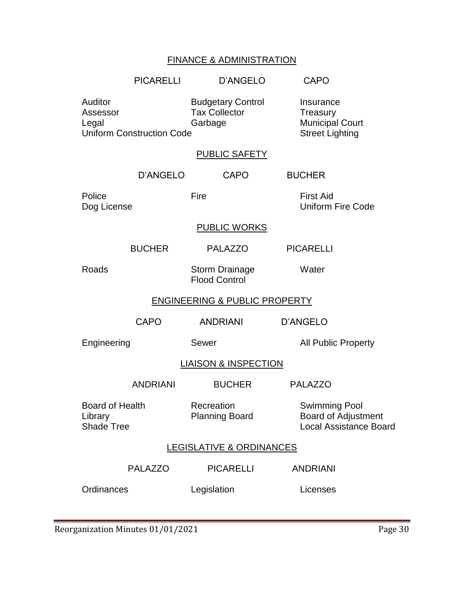# FINANCE & ADMINISTRATION

|                                                                                                                                 | <b>PICARELLI</b> | <b>D'ANGELO</b>                                                           | <b>CAPO</b>                                                                  |
|---------------------------------------------------------------------------------------------------------------------------------|------------------|---------------------------------------------------------------------------|------------------------------------------------------------------------------|
| Auditor<br><b>Budgetary Control</b><br><b>Tax Collector</b><br>Assessor<br>Garbage<br>Legal<br><b>Uniform Construction Code</b> |                  | Insurance<br>Treasury<br><b>Municipal Court</b><br><b>Street Lighting</b> |                                                                              |
|                                                                                                                                 |                  | <b>PUBLIC SAFETY</b>                                                      |                                                                              |
|                                                                                                                                 | D'ANGELO         | <b>CAPO</b>                                                               | <b>BUCHER</b>                                                                |
| Police<br>Dog License                                                                                                           | Fire             |                                                                           | <b>First Aid</b><br><b>Uniform Fire Code</b>                                 |
|                                                                                                                                 |                  | <b>PUBLIC WORKS</b>                                                       |                                                                              |
|                                                                                                                                 | <b>BUCHER</b>    | <b>PALAZZO</b>                                                            | <b>PICARELLI</b>                                                             |
| Roads                                                                                                                           |                  | <b>Storm Drainage</b><br><b>Flood Control</b>                             | Water                                                                        |
| <b>ENGINEERING &amp; PUBLIC PROPERTY</b>                                                                                        |                  |                                                                           |                                                                              |
|                                                                                                                                 | <b>CAPO</b>      | <b>ANDRIANI</b>                                                           | <b>D'ANGELO</b>                                                              |
| Engineering                                                                                                                     |                  | Sewer                                                                     | <b>All Public Property</b>                                                   |
| <b>LIAISON &amp; INSPECTION</b>                                                                                                 |                  |                                                                           |                                                                              |
|                                                                                                                                 | <b>ANDRIANI</b>  | <b>BUCHER</b>                                                             | <b>PALAZZO</b>                                                               |
| <b>Board of Health</b><br>Library<br><b>Shade Tree</b>                                                                          |                  | Recreation<br><b>Planning Board</b>                                       | <b>Swimming Pool</b><br>Board of Adjustment<br><b>Local Assistance Board</b> |
| <b>LEGISLATIVE &amp; ORDINANCES</b>                                                                                             |                  |                                                                           |                                                                              |
|                                                                                                                                 | <b>PALAZZO</b>   | <b>PICARELLI</b>                                                          | <b>ANDRIANI</b>                                                              |
| Ordinances                                                                                                                      |                  | Legislation                                                               | Licenses                                                                     |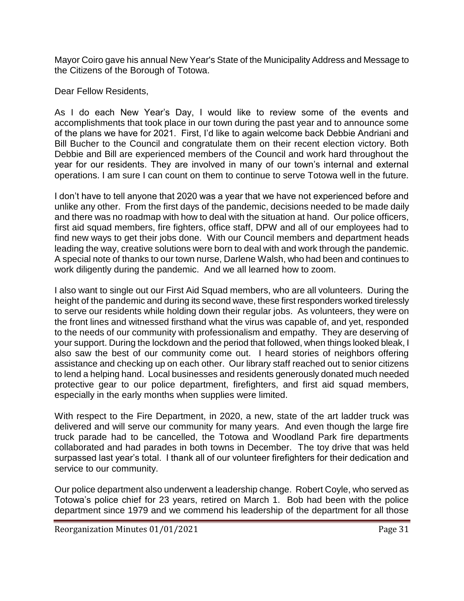Mayor Coiro gave his annual New Year's State of the Municipality Address and Message to the Citizens of the Borough of Totowa.

Dear Fellow Residents,

As I do each New Year's Day, I would like to review some of the events and accomplishments that took place in our town during the past year and to announce some of the plans we have for 2021. First, I'd like to again welcome back Debbie Andriani and Bill Bucher to the Council and congratulate them on their recent election victory. Both Debbie and Bill are experienced members of the Council and work hard throughout the year for our residents. They are involved in many of our town's internal and external operations. I am sure I can count on them to continue to serve Totowa well in the future.

I don't have to tell anyone that 2020 was a year that we have not experienced before and unlike any other. From the first days of the pandemic, decisions needed to be made daily and there was no roadmap with how to deal with the situation at hand. Our police officers, first aid squad members, fire fighters, office staff, DPW and all of our employees had to find new ways to get their jobs done. With our Council members and department heads leading the way, creative solutions were born to deal with and work through the pandemic. A special note of thanks to our town nurse, Darlene Walsh, who had been and continues to work diligently during the pandemic. And we all learned how to zoom.

I also want to single out our First Aid Squad members, who are all volunteers. During the height of the pandemic and during its second wave, these first responders worked tirelessly to serve our residents while holding down their regular jobs. As volunteers, they were on the front lines and witnessed firsthand what the virus was capable of, and yet, responded to the needs of our community with professionalism and empathy. They are deserving of your support. During the lockdown and the period that followed, when things looked bleak, I also saw the best of our community come out. I heard stories of neighbors offering assistance and checking up on each other. Our library staff reached out to senior citizens to lend a helping hand. Local businesses and residents generously donated much needed protective gear to our police department, firefighters, and first aid squad members, especially in the early months when supplies were limited.

With respect to the Fire Department, in 2020, a new, state of the art ladder truck was delivered and will serve our community for many years. And even though the large fire truck parade had to be cancelled, the Totowa and Woodland Park fire departments collaborated and had parades in both towns in December. The toy drive that was held surpassed last year's total. I thank all of our volunteer firefighters for their dedication and service to our community.

Our police department also underwent a leadership change. Robert Coyle, who served as Totowa's police chief for 23 years, retired on March 1. Bob had been with the police department since 1979 and we commend his leadership of the department for all those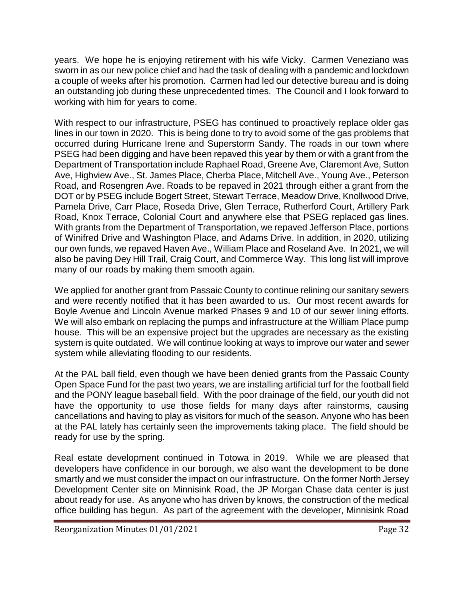years. We hope he is enjoying retirement with his wife Vicky. Carmen Veneziano was sworn in as our new police chief and had the task of dealing with a pandemic and lockdown a couple of weeks after his promotion. Carmen had led our detective bureau and is doing an outstanding job during these unprecedented times. The Council and I look forward to working with him for years to come.

With respect to our infrastructure, PSEG has continued to proactively replace older gas lines in our town in 2020. This is being done to try to avoid some of the gas problems that occurred during Hurricane Irene and Superstorm Sandy. The roads in our town where PSEG had been digging and have been repaved this year by them or with a grant from the Department of Transportation include Raphael Road, Greene Ave, Claremont Ave, Sutton Ave, Highview Ave., St. James Place, Cherba Place, Mitchell Ave., Young Ave., Peterson Road, and Rosengren Ave. Roads to be repaved in 2021 through either a grant from the DOT or by PSEG include Bogert Street, Stewart Terrace, Meadow Drive, Knollwood Drive, Pamela Drive, Carr Place, Roseda Drive, Glen Terrace, Rutherford Court, Artillery Park Road, Knox Terrace, Colonial Court and anywhere else that PSEG replaced gas lines. With grants from the Department of Transportation, we repaved Jefferson Place, portions of Winifred Drive and Washington Place, and Adams Drive. In addition, in 2020, utilizing our own funds, we repaved Haven Ave., William Place and Roseland Ave. In 2021, we will also be paving Dey Hill Trail, Craig Court, and Commerce Way. This long list will improve many of our roads by making them smooth again.

We applied for another grant from Passaic County to continue relining our sanitary sewers and were recently notified that it has been awarded to us. Our most recent awards for Boyle Avenue and Lincoln Avenue marked Phases 9 and 10 of our sewer lining efforts. We will also embark on replacing the pumps and infrastructure at the William Place pump house. This will be an expensive project but the upgrades are necessary as the existing system is quite outdated. We will continue looking at ways to improve our water and sewer system while alleviating flooding to our residents.

At the PAL ball field, even though we have been denied grants from the Passaic County Open Space Fund for the past two years, we are installing artificial turf for the football field and the PONY league baseball field. With the poor drainage of the field, our youth did not have the opportunity to use those fields for many days after rainstorms, causing cancellations and having to play as visitors for much of the season. Anyone who has been at the PAL lately has certainly seen the improvements taking place. The field should be ready for use by the spring.

Real estate development continued in Totowa in 2019. While we are pleased that developers have confidence in our borough, we also want the development to be done smartly and we must consider the impact on our infrastructure. On the former North Jersey Development Center site on Minnisink Road, the JP Morgan Chase data center is just about ready for use. As anyone who has driven by knows, the construction of the medical office building has begun. As part of the agreement with the developer, Minnisink Road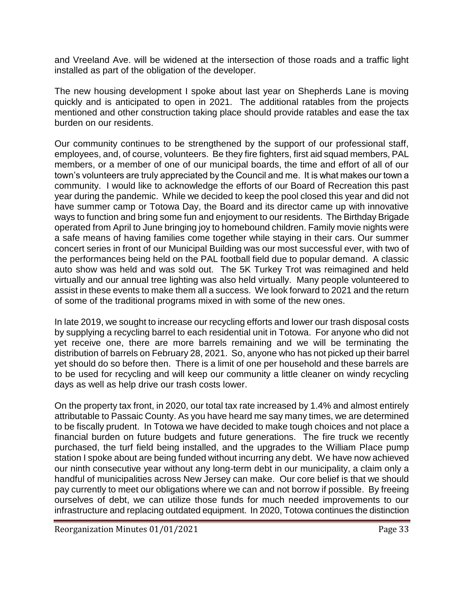and Vreeland Ave. will be widened at the intersection of those roads and a traffic light installed as part of the obligation of the developer.

The new housing development I spoke about last year on Shepherds Lane is moving quickly and is anticipated to open in 2021. The additional ratables from the projects mentioned and other construction taking place should provide ratables and ease the tax burden on our residents.

Our community continues to be strengthened by the support of our professional staff, employees, and, of course, volunteers. Be they fire fighters, first aid squad members, PAL members, or a member of one of our municipal boards, the time and effort of all of our town's volunteers are truly appreciated by the Council and me. It is what makes our town a community. I would like to acknowledge the efforts of our Board of Recreation this past year during the pandemic. While we decided to keep the pool closed this year and did not have summer camp or Totowa Day, the Board and its director came up with innovative ways to function and bring some fun and enjoyment to our residents. The Birthday Brigade operated from April to June bringing joy to homebound children. Family movie nights were a safe means of having families come together while staying in their cars. Our summer concert series in front of our Municipal Building was our most successful ever, with two of the performances being held on the PAL football field due to popular demand. A classic auto show was held and was sold out. The 5K Turkey Trot was reimagined and held virtually and our annual tree lighting was also held virtually. Many people volunteered to assist in these events to make them all a success. We look forward to 2021 and the return of some of the traditional programs mixed in with some of the new ones.

In late 2019, we sought to increase our recycling efforts and lower our trash disposal costs by supplying a recycling barrel to each residential unit in Totowa. For anyone who did not yet receive one, there are more barrels remaining and we will be terminating the distribution of barrels on February 28, 2021. So, anyone who has not picked up their barrel yet should do so before then. There is a limit of one per household and these barrels are to be used for recycling and will keep our community a little cleaner on windy recycling days as well as help drive our trash costs lower.

On the property tax front, in 2020, our total tax rate increased by 1.4% and almost entirely attributable to Passaic County. As you have heard me say many times, we are determined to be fiscally prudent. In Totowa we have decided to make tough choices and not place a financial burden on future budgets and future generations. The fire truck we recently purchased, the turf field being installed, and the upgrades to the William Place pump station I spoke about are being funded without incurring any debt. We have now achieved our ninth consecutive year without any long-term debt in our municipality, a claim only a handful of municipalities across New Jersey can make. Our core belief is that we should pay currently to meet our obligations where we can and not borrow if possible. By freeing ourselves of debt, we can utilize those funds for much needed improvements to our infrastructure and replacing outdated equipment. In 2020, Totowa continues the distinction